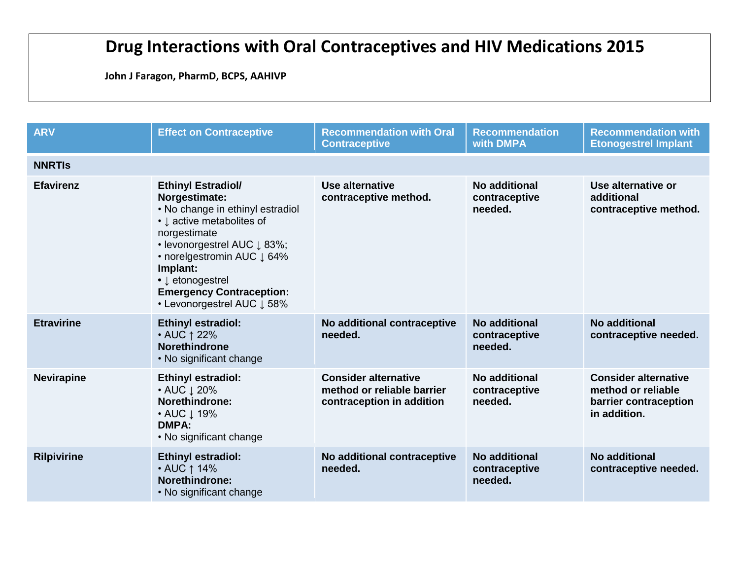## **Drug Interactions with Oral Contraceptives and HIV Medications 2015**

**John J Faragon, PharmD, BCPS, AAHIVP**

| <b>ARV</b>         | <b>Effect on Contraceptive</b>                                                                                                                                                                                                                                                                                                                   | <b>Recommendation with Oral</b><br><b>Contraceptive</b>                                | <b>Recommendation</b><br>with DMPA        | <b>Recommendation with</b><br><b>Etonogestrel Implant</b>                                  |  |
|--------------------|--------------------------------------------------------------------------------------------------------------------------------------------------------------------------------------------------------------------------------------------------------------------------------------------------------------------------------------------------|----------------------------------------------------------------------------------------|-------------------------------------------|--------------------------------------------------------------------------------------------|--|
| <b>NNRTIS</b>      |                                                                                                                                                                                                                                                                                                                                                  |                                                                                        |                                           |                                                                                            |  |
| <b>Efavirenz</b>   | <b>Ethinyl Estradiol/</b><br>Norgestimate:<br>• No change in ethinyl estradiol<br>• $\downarrow$ active metabolites of<br>norgestimate<br>• levonorgestrel AUC $\downarrow$ 83%;<br>• norelgestromin AUC $\downarrow$ 64%<br>Implant:<br>• $\downarrow$ etonogestrel<br><b>Emergency Contraception:</b><br>• Levonorgestrel AUC $\downarrow$ 58% | Use alternative<br>contraceptive method.                                               | No additional<br>contraceptive<br>needed. | Use alternative or<br>additional<br>contraceptive method.                                  |  |
| <b>Etravirine</b>  | <b>Ethinyl estradiol:</b><br>• AUC ↑ 22%<br><b>Norethindrone</b><br>• No significant change                                                                                                                                                                                                                                                      | No additional contraceptive<br>needed.                                                 | No additional<br>contraceptive<br>needed. | No additional<br>contraceptive needed.                                                     |  |
| <b>Nevirapine</b>  | <b>Ethinyl estradiol:</b><br>• AUC $\downarrow$ 20%<br>Norethindrone:<br>• AUC ↓ 19%<br><b>DMPA:</b><br>• No significant change                                                                                                                                                                                                                  | <b>Consider alternative</b><br>method or reliable barrier<br>contraception in addition | No additional<br>contraceptive<br>needed. | <b>Consider alternative</b><br>method or reliable<br>barrier contraception<br>in addition. |  |
| <b>Rilpivirine</b> | <b>Ethinyl estradiol:</b><br>• AUC ↑ 14%<br>Norethindrone:<br>• No significant change                                                                                                                                                                                                                                                            | No additional contraceptive<br>needed.                                                 | No additional<br>contraceptive<br>needed. | No additional<br>contraceptive needed.                                                     |  |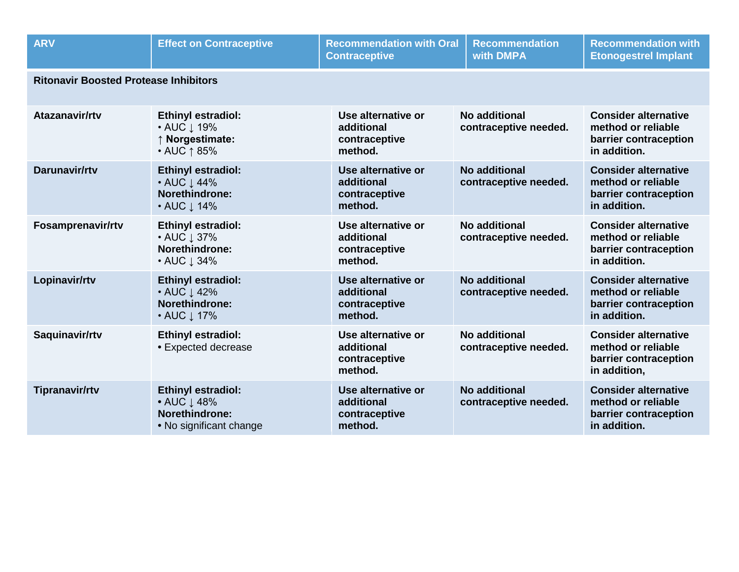| <b>ARV</b>                                   | <b>Effect on Contraceptive</b>                                                                          | <b>Recommendation with Oral</b><br><b>Contraceptive</b>      | <b>Recommendation</b><br>with DMPA            | <b>Recommendation with</b><br><b>Etonogestrel Implant</b>                                  |  |
|----------------------------------------------|---------------------------------------------------------------------------------------------------------|--------------------------------------------------------------|-----------------------------------------------|--------------------------------------------------------------------------------------------|--|
| <b>Ritonavir Boosted Protease Inhibitors</b> |                                                                                                         |                                                              |                                               |                                                                                            |  |
| Atazanavir/rtv                               | <b>Ethinyl estradiol:</b><br>• AUC $\downarrow$ 19%<br>↑ Norgestimate:<br>• AUC ↑ 85%                   | Use alternative or<br>additional<br>contraceptive<br>method. | No additional<br>contraceptive needed.        | <b>Consider alternative</b><br>method or reliable<br>barrier contraception<br>in addition. |  |
| Darunavir/rtv                                | <b>Ethinyl estradiol:</b><br>• AUC $\downarrow$ 44%<br>Norethindrone:<br>• AUC $\downarrow$ 14%         | Use alternative or<br>additional<br>contraceptive<br>method. | <b>No additional</b><br>contraceptive needed. | <b>Consider alternative</b><br>method or reliable<br>barrier contraception<br>in addition. |  |
| Fosamprenavir/rtv                            | <b>Ethinyl estradiol:</b><br>• AUC $\downarrow$ 37%<br><b>Norethindrone:</b><br>• AUC $\downarrow$ 34%  | Use alternative or<br>additional<br>contraceptive<br>method. | No additional<br>contraceptive needed.        | <b>Consider alternative</b><br>method or reliable<br>barrier contraception<br>in addition. |  |
| Lopinavir/rtv                                | <b>Ethinyl estradiol:</b><br>• AUC $\downarrow$ 42%<br>Norethindrone:<br>• AUC $\downarrow$ 17%         | Use alternative or<br>additional<br>contraceptive<br>method. | No additional<br>contraceptive needed.        | <b>Consider alternative</b><br>method or reliable<br>barrier contraception<br>in addition. |  |
| Saquinavir/rtv                               | <b>Ethinyl estradiol:</b><br>• Expected decrease                                                        | Use alternative or<br>additional<br>contraceptive<br>method. | No additional<br>contraceptive needed.        | <b>Consider alternative</b><br>method or reliable<br>barrier contraception<br>in addition, |  |
| <b>Tipranavir/rtv</b>                        | <b>Ethinyl estradiol:</b><br>• AUC $\downarrow$ 48%<br><b>Norethindrone:</b><br>• No significant change | Use alternative or<br>additional<br>contraceptive<br>method. | <b>No additional</b><br>contraceptive needed. | <b>Consider alternative</b><br>method or reliable<br>barrier contraception<br>in addition. |  |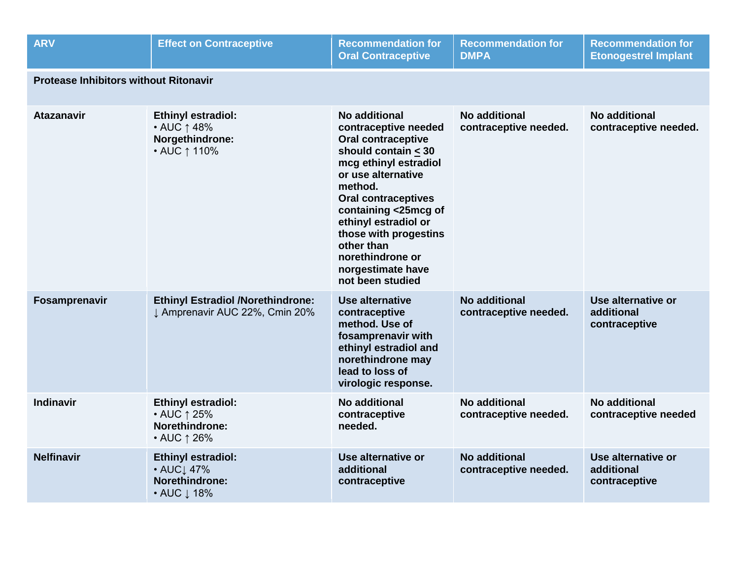| <b>ARV</b>                                   | <b>Effect on Contraceptive</b>                                                  | <b>Recommendation for</b><br><b>Oral Contraceptive</b>                                                                                                                                                                                                                                                                                  | <b>Recommendation for</b><br><b>DMPA</b>      | <b>Recommendation for</b><br><b>Etonogestrel Implant</b> |  |
|----------------------------------------------|---------------------------------------------------------------------------------|-----------------------------------------------------------------------------------------------------------------------------------------------------------------------------------------------------------------------------------------------------------------------------------------------------------------------------------------|-----------------------------------------------|----------------------------------------------------------|--|
| <b>Protease Inhibitors without Ritonavir</b> |                                                                                 |                                                                                                                                                                                                                                                                                                                                         |                                               |                                                          |  |
| <b>Atazanavir</b>                            | <b>Ethinyl estradiol:</b><br>• AUC ↑ 48%<br>Norgethindrone:<br>• AUC ↑ 110%     | No additional<br>contraceptive needed<br><b>Oral contraceptive</b><br>should contain $<$ 30<br>mcg ethinyl estradiol<br>or use alternative<br>method.<br><b>Oral contraceptives</b><br>containing <25mcg of<br>ethinyl estradiol or<br>those with progestins<br>other than<br>norethindrone or<br>norgestimate have<br>not been studied | <b>No additional</b><br>contraceptive needed. | No additional<br>contraceptive needed.                   |  |
| Fosamprenavir                                | <b>Ethinyl Estradiol /Norethindrone:</b><br>J Amprenavir AUC 22%, Cmin 20%      | <b>Use alternative</b><br>contraceptive<br>method. Use of<br>fosamprenavir with<br>ethinyl estradiol and<br>norethindrone may<br>lead to loss of<br>virologic response.                                                                                                                                                                 | <b>No additional</b><br>contraceptive needed. | Use alternative or<br>additional<br>contraceptive        |  |
| <b>Indinavir</b>                             | <b>Ethinyl estradiol:</b><br>• AUC ↑ 25%<br>Norethindrone:<br>• AUC ↑ 26%       | No additional<br>contraceptive<br>needed.                                                                                                                                                                                                                                                                                               | No additional<br>contraceptive needed.        | <b>No additional</b><br>contraceptive needed             |  |
| <b>Nelfinavir</b>                            | <b>Ethinyl estradiol:</b><br>• AUC1 47%<br><b>Norethindrone:</b><br>• AUC ↓ 18% | Use alternative or<br>additional<br>contraceptive                                                                                                                                                                                                                                                                                       | <b>No additional</b><br>contraceptive needed. | Use alternative or<br>additional<br>contraceptive        |  |